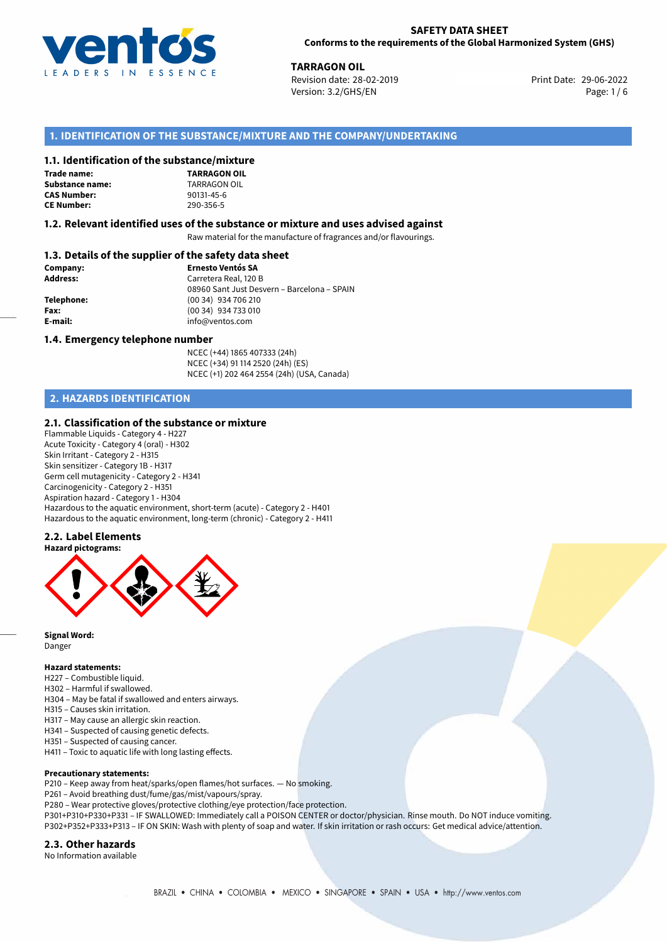

**TARRAGON OIL**<br>29-06-2022 **Revision date: 28-02-2019** Print Date: 29-06-2022 Version: 3.2/GHS/EN Page: 1 / 6

## **1. IDENTIFICATION OF THE SUBSTANCE/MIXTURE AND THE COMPANY/UNDERTAKING**

#### **1.1. Identification of the substance/mixture**

**Trade name: Substance name:** TARRAGON OIL **CAS Number: CE Number:** 290-356-5



#### **1.2. Relevant identified uses of the substance or mixture and uses advised against**

Raw material for the manufacture of fragrances and/or flavourings.

## **1.3. Details of the supplier of the safety data sheet**

| Company:        | <b>Ernesto Ventós SA</b>                    |  |
|-----------------|---------------------------------------------|--|
| <b>Address:</b> | Carretera Real, 120 B                       |  |
|                 | 08960 Sant Just Desvern - Barcelona - SPAIN |  |
| Telephone:      | (00 34) 934 706 210                         |  |
| Fax:            | (00 34) 934 733 010                         |  |
| E-mail:         | info@ventos.com                             |  |
|                 |                                             |  |

#### **1.4. Emergency telephone number**

NCEC (+44) 1865 407333 (24h) NCEC (+34) 91 114 2520 (24h) (ES) NCEC (+1) 202 464 2554 (24h) (USA, Canada)

## **2. HAZARDS IDENTIFICATION**

## **2.1. Classification of the substance or mixture**

Flammable Liquids - Category 4 - H227 Acute Toxicity - Category 4 (oral) - H302 Skin Irritant - Category 2 - H315 Skin sensitizer - Category 1B - H317 Germ cell mutagenicity - Category 2 - H341 Carcinogenicity - Category 2 - H351 Aspiration hazard - Category 1 - H304 Hazardous to the aquatic environment, short-term (acute) - Category 2 - H401 Hazardous to the aquatic environment, long-term (chronic) - Category 2 - H411

## **2.2. Label Elements**





**Signal Word:** Danger

#### **Hazard statements:**

- H227 Combustible liquid.
- H302 Harmful if swallowed.
- H304 May be fatal if swallowed and enters airways.
- H315 Causes skin irritation.
- H317 May cause an allergic skin reaction.
- H341 Suspected of causing genetic defects.
- H351 Suspected of causing cancer.
- H411 Toxic to aquatic life with long lasting effects.

#### **Precautionary statements:**

- P210 Keep away from heat/sparks/open flames/hot surfaces. No smoking.
- P261 Avoid breathing dust/fume/gas/mist/vapours/spray.
- P280 Wear protective gloves/protective clothing/eye protection/face protection.
- P301+P310+P330+P331 IF SWALLOWED: Immediately call a POISON CENTER or doctor/physician. Rinse mouth. Do NOT induce vomiting. P302+P352+P333+P313 – IF ON SKIN: Wash with plenty of soap and water. If skin irritation or rash occurs: Get medical advice/attention.

#### **2.3. Other hazards**

No Information available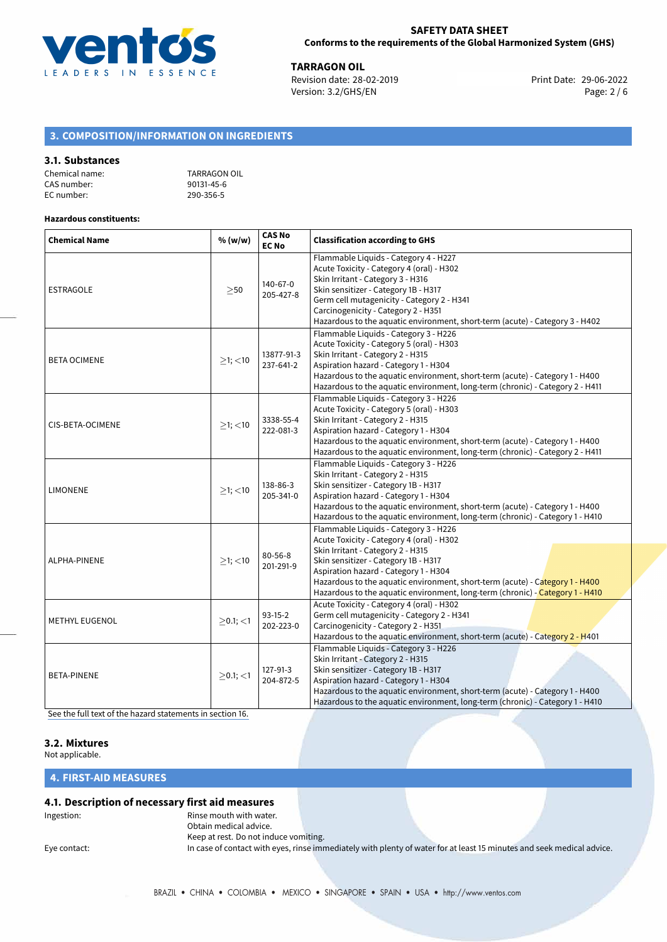

**TARRAGON OIL**<br> **Example 28-02-2019**<br> **Print Date: 29-06-2022**<br> **Print Date: 29-06-2022** Revision date: 28-02-2019 Version: 3.2/GHS/EN Page: 2 / 6

# **3. COMPOSITION/INFORMATION ON INGREDIENTS**

## **3.1. Substances**

| Chemical name: | TARRAGON OIL |
|----------------|--------------|
| CAS number:    | 90131-45-6   |
| EC number:     | 290-356-5    |

#### **Hazardous constituents:**

| <b>Chemical Name</b>  | % (w/w)        | <b>CAS No</b><br><b>EC No</b> | <b>Classification according to GHS</b>                                                                                                                                                                                                                                                                                                                                    |
|-----------------------|----------------|-------------------------------|---------------------------------------------------------------------------------------------------------------------------------------------------------------------------------------------------------------------------------------------------------------------------------------------------------------------------------------------------------------------------|
| <b>ESTRAGOLE</b>      | >50            | 140-67-0<br>205-427-8         | Flammable Liquids - Category 4 - H227<br>Acute Toxicity - Category 4 (oral) - H302<br>Skin Irritant - Category 3 - H316<br>Skin sensitizer - Category 1B - H317<br>Germ cell mutagenicity - Category 2 - H341<br>Carcinogenicity - Category 2 - H351<br>Hazardous to the aquatic environment, short-term (acute) - Category 3 - H402                                      |
| <b>BETA OCIMENE</b>   | $>1$ ; $<$ 10  | 13877-91-3<br>237-641-2       | Flammable Liquids - Category 3 - H226<br>Acute Toxicity - Category 5 (oral) - H303<br>Skin Irritant - Category 2 - H315<br>Aspiration hazard - Category 1 - H304<br>Hazardous to the aquatic environment, short-term (acute) - Category 1 - H400<br>Hazardous to the aquatic environment, long-term (chronic) - Category 2 - H411                                         |
| CIS-BETA-OCIMENE      | $>1$ ; <10     | 3338-55-4<br>222-081-3        | Flammable Liquids - Category 3 - H226<br>Acute Toxicity - Category 5 (oral) - H303<br>Skin Irritant - Category 2 - H315<br>Aspiration hazard - Category 1 - H304<br>Hazardous to the aquatic environment, short-term (acute) - Category 1 - H400<br>Hazardous to the aquatic environment, long-term (chronic) - Category 2 - H411                                         |
| <b>LIMONENE</b>       | $≥1;$ < 10     | 138-86-3<br>205-341-0         | Flammable Liquids - Category 3 - H226<br>Skin Irritant - Category 2 - H315<br>Skin sensitizer - Category 1B - H317<br>Aspiration hazard - Category 1 - H304<br>Hazardous to the aquatic environment, short-term (acute) - Category 1 - H400<br>Hazardous to the aquatic environment, long-term (chronic) - Category 1 - H410                                              |
| ALPHA-PINENE          | $>1$ ; <10     | 80-56-8<br>201-291-9          | Flammable Liquids - Category 3 - H226<br>Acute Toxicity - Category 4 (oral) - H302<br>Skin Irritant - Category 2 - H315<br>Skin sensitizer - Category 1B - H317<br>Aspiration hazard - Category 1 - H304<br>Hazardous to the aquatic environment, short-term (acute) - Category 1 - H400<br>Hazardous to the aquatic environment, long-term (chronic) - Category 1 - H410 |
| <b>METHYL EUGENOL</b> | $>0.1$ ; $<$ 1 | $93-15-2$<br>202-223-0        | Acute Toxicity - Category 4 (oral) - H302<br>Germ cell mutagenicity - Category 2 - H341<br>Carcinogenicity - Category 2 - H351<br>Hazardous to the aquatic environment, short-term (acute) - Category 2 - H401                                                                                                                                                            |
| BETA-PINENE           | $>0.1$ ; <1    | 127-91-3<br>204-872-5         | Flammable Liquids - Category 3 - H226<br>Skin Irritant - Category 2 - H315<br>Skin sensitizer - Category 1B - H317<br>Aspiration hazard - Category 1 - H304<br>Hazardous to the aquatic environment, short-term (acute) - Category 1 - H400<br>Hazardous to the aquatic environment, long-term (chronic) - Category 1 - H410                                              |

[See the full text of the hazard statements in section 16.](#page-4-0)

## **3.2. Mixtures**

Not applicable.

**4. FIRST-AID MEASURES**

## **4.1. Description of necessary first aid measures**

Ingestion: The mouth with water. Obtain medical advice.

Keep at rest. Do not induce vomiting. Eye contact: In case of contact with eyes, rinse immediately with plenty of water for at least 15 minutes and seek medical advice.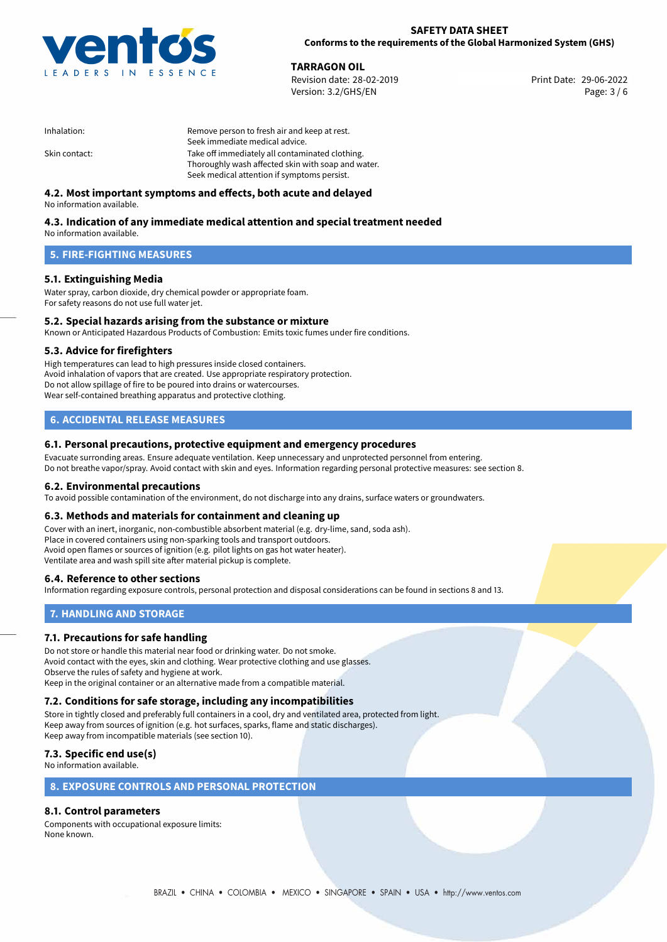

**TARRAGON OIL**<br>
Revision date: 28-02-2019 **Print Date: 29-06-2022** Version: 3.2/GHS/EN Page: 3 / 6

| Inhalation:   | Remove person to fresh air and keep at rest.       |
|---------------|----------------------------------------------------|
|               | Seek immediate medical advice.                     |
| Skin contact: | Take off immediately all contaminated clothing.    |
|               | Thoroughly wash affected skin with soap and water. |
|               | Seek medical attention if symptoms persist.        |

## **4.2. Most important symptoms and effects, both acute and delayed**

No information available.

# **4.3. Indication of any immediate medical attention and special treatment needed**

No information available.

## **5. FIRE-FIGHTING MEASURES**

## **5.1. Extinguishing Media**

Water spray, carbon dioxide, dry chemical powder or appropriate foam. For safety reasons do not use full water jet.

# **5.2. Special hazards arising from the substance or mixture**

Known or Anticipated Hazardous Products of Combustion: Emits toxic fumes under fire conditions.

## **5.3. Advice for firefighters**

High temperatures can lead to high pressures inside closed containers. Avoid inhalation of vapors that are created. Use appropriate respiratory protection. Do not allow spillage of fire to be poured into drains or watercourses. Wear self-contained breathing apparatus and protective clothing.

## **6. ACCIDENTAL RELEASE MEASURES**

## **6.1. Personal precautions, protective equipment and emergency procedures**

Evacuate surronding areas. Ensure adequate ventilation. Keep unnecessary and unprotected personnel from entering. Do not breathe vapor/spray. Avoid contact with skin and eyes. Information regarding personal protective measures: see section 8.

## **6.2. Environmental precautions**

To avoid possible contamination of the environment, do not discharge into any drains, surface waters or groundwaters.

## **6.3. Methods and materials for containment and cleaning up**

Cover with an inert, inorganic, non-combustible absorbent material (e.g. dry-lime, sand, soda ash). Place in covered containers using non-sparking tools and transport outdoors. Avoid open flames or sources of ignition (e.g. pilot lights on gas hot water heater). Ventilate area and wash spill site after material pickup is complete.

## **6.4. Reference to other sections**

Information regarding exposure controls, personal protection and disposal considerations can be found in sections 8 and 13.

## **7. HANDLING AND STORAGE**

## **7.1. Precautions for safe handling**

Do not store or handle this material near food or drinking water. Do not smoke. Avoid contact with the eyes, skin and clothing. Wear protective clothing and use glasses. Observe the rules of safety and hygiene at work. Keep in the original container or an alternative made from a compatible material.

# **7.2. Conditions for safe storage, including any incompatibilities**

Store in tightly closed and preferably full containers in a cool, dry and ventilated area, protected from light. Keep away from sources of ignition (e.g. hot surfaces, sparks, flame and static discharges). Keep away from incompatible materials (see section 10).

## **7.3. Specific end use(s)**

No information available.

## **8. EXPOSURE CONTROLS AND PERSONAL PROTECTION**

## **8.1. Control parameters**

Components with occupational exposure limits: None known.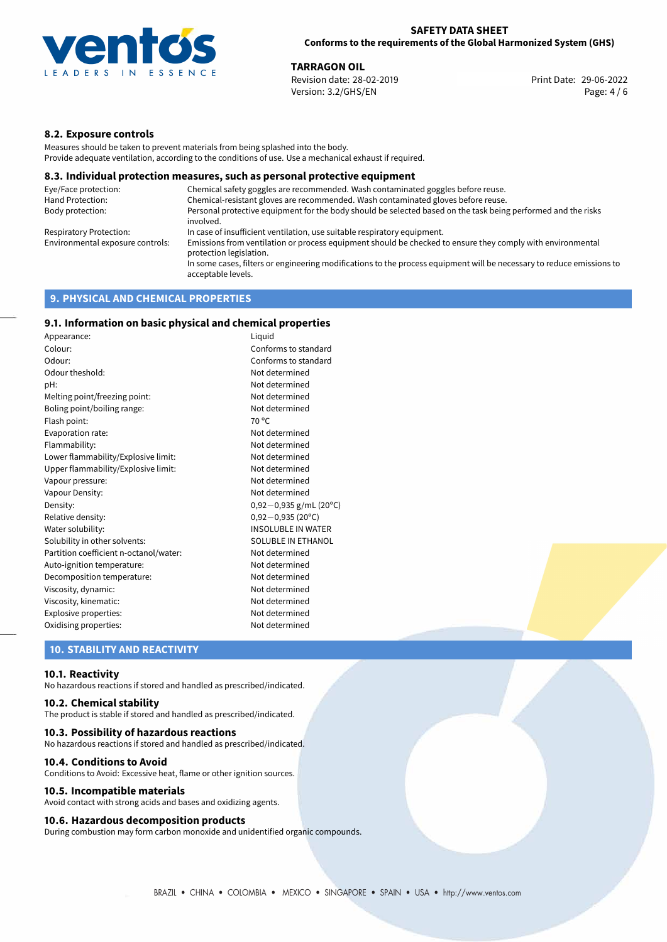

**TARRAGON OIL**<br>
Revision date: 28-02-2019 **Print Date: 29-06-2022** Version: 3.2/GHS/EN Page: 4 / 6

## **8.2. Exposure controls**

Measures should be taken to prevent materials from being splashed into the body. Provide adequate ventilation, according to the conditions of use. Use a mechanical exhaust if required.

## **8.3. Individual protection measures, such as personal protective equipment**

| Eye/Face protection:             | Chemical safety goggles are recommended. Wash contaminated goggles before reuse.                                                            |
|----------------------------------|---------------------------------------------------------------------------------------------------------------------------------------------|
| Hand Protection:                 | Chemical-resistant gloves are recommended. Wash contaminated gloves before reuse.                                                           |
| Body protection:                 | Personal protective equipment for the body should be selected based on the task being performed and the risks<br>involved.                  |
| Respiratory Protection:          | In case of insufficient ventilation, use suitable respiratory equipment.                                                                    |
| Environmental exposure controls: | Emissions from ventilation or process equipment should be checked to ensure they comply with environmental<br>protection legislation.       |
|                                  | In some cases, filters or engineering modifications to the process equipment will be necessary to reduce emissions to<br>acceptable levels. |
|                                  |                                                                                                                                             |

## **9. PHYSICAL AND CHEMICAL PROPERTIES**

## **9.1. Information on basic physical and chemical properties**

| Appearance:                            | Liguid                    |
|----------------------------------------|---------------------------|
| Colour:                                | Conforms to standard      |
| Odour:                                 | Conforms to standard      |
| Odour theshold:                        | Not determined            |
| pH:                                    | Not determined            |
| Melting point/freezing point:          | Not determined            |
| Boling point/boiling range:            | Not determined            |
| Flash point:                           | $70^{\circ}$ C            |
| Evaporation rate:                      | Not determined            |
| Flammability:                          | Not determined            |
| Lower flammability/Explosive limit:    | Not determined            |
| Upper flammability/Explosive limit:    | Not determined            |
| Vapour pressure:                       | Not determined            |
| Vapour Density:                        | Not determined            |
| Density:                               | $0,92-0,935$ g/mL (20°C)  |
| Relative density:                      | $0,92-0,935(20^{\circ}C)$ |
| Water solubility:                      | <b>INSOLUBLE IN WATER</b> |
| Solubility in other solvents:          | SOLUBLE IN ETHANOL        |
| Partition coefficient n-octanol/water: | Not determined            |
| Auto-ignition temperature:             | Not determined            |
| Decomposition temperature:             | Not determined            |
| Viscosity, dynamic:                    | Not determined            |
| Viscosity, kinematic:                  | Not determined            |
| Explosive properties:                  | Not determined            |
| Oxidising properties:                  | Not determined            |

## **10. STABILITY AND REACTIVITY**

#### **10.1. Reactivity**

No hazardous reactions if stored and handled as prescribed/indicated.

## **10.2. Chemical stability**

The product is stable if stored and handled as prescribed/indicated.

#### **10.3. Possibility of hazardous reactions**

No hazardous reactions if stored and handled as prescribed/indicated.

#### **10.4. Conditions to Avoid**

Conditions to Avoid: Excessive heat, flame or other ignition sources.

#### **10.5. Incompatible materials**

Avoid contact with strong acids and bases and oxidizing agents.

## **10.6. Hazardous decomposition products**

During combustion may form carbon monoxide and unidentified organic compounds.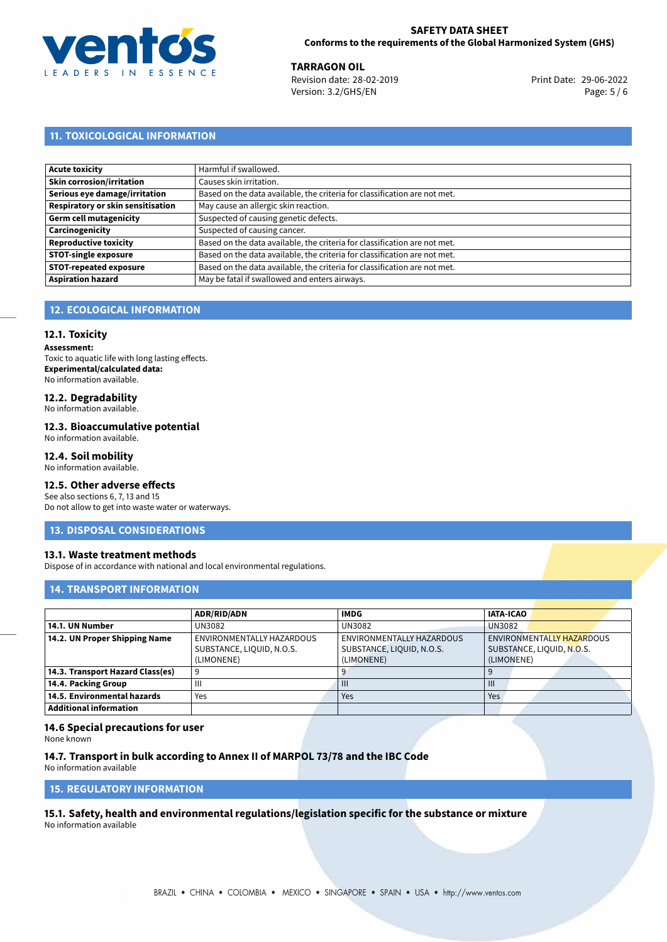

**TARRAGON OIL**<br>
Revision date: 28-02-2019 **Print Date: 29-06-2022** Version: 3.2/GHS/EN Page: 5 / 6

# **11. TOXICOLOGICAL INFORMATION**

| Acute toxicity                    | Harmful if swallowed.                                                     |
|-----------------------------------|---------------------------------------------------------------------------|
|                                   |                                                                           |
| Skin corrosion/irritation         | Causes skin irritation.                                                   |
| Serious eye damage/irritation     | Based on the data available, the criteria for classification are not met. |
| Respiratory or skin sensitisation | May cause an allergic skin reaction.                                      |
| Germ cell mutagenicity            | Suspected of causing genetic defects.                                     |
| Carcinogenicity                   | Suspected of causing cancer.                                              |
| <b>Reproductive toxicity</b>      | Based on the data available, the criteria for classification are not met. |
| <b>STOT-single exposure</b>       | Based on the data available, the criteria for classification are not met. |
| <b>STOT-repeated exposure</b>     | Based on the data available, the criteria for classification are not met. |
| <b>Aspiration hazard</b>          | May be fatal if swallowed and enters airways.                             |

# **12. ECOLOGICAL INFORMATION**

## **12.1. Toxicity**

**Assessment:** Toxic to aquatic life with long lasting effects. **Experimental/calculated data:** No information available.

# **12.2. Degradability**

No information available.

## **12.3. Bioaccumulative potential**

No information available.

## **12.4. Soil mobility**

No information available.

## **12.5. Other adverse effects**

See also sections 6, 7, 13 and 15 Do not allow to get into waste water or waterways.

## **13. DISPOSAL CONSIDERATIONS**

## **13.1. Waste treatment methods**

Dispose of in accordance with national and local environmental regulations.

## **14. TRANSPORT INFORMATION**

|                                  | <b>ADR/RID/ADN</b>        | <b>IMDG</b>               | <b>IATA-ICAO</b>          |
|----------------------------------|---------------------------|---------------------------|---------------------------|
| 14.1. UN Number                  | UN3082                    | UN3082                    | <b>UN3082</b>             |
| 14.2. UN Proper Shipping Name    | ENVIRONMENTALLY HAZARDOUS | ENVIRONMENTALLY HAZARDOUS | ENVIRONMENTALLY HAZARDOUS |
|                                  | SUBSTANCE, LIQUID, N.O.S. | SUBSTANCE, LIQUID, N.O.S. | SUBSTANCE, LIQUID, N.O.S. |
|                                  | (LIMONENE)                | (LIMONENE)                | (LIMONENE)                |
| 14.3. Transport Hazard Class(es) |                           |                           |                           |
| 14.4. Packing Group              | Ш                         | $\mathbf{H}$              | $\mathbf{m}$              |
| 14.5. Environmental hazards      | Yes                       | Yes                       | Yes                       |
| Additional information           |                           |                           |                           |

## **14.6 Special precautions for user**

None known

## **14.7. Transport in bulk according to Annex II of MARPOL 73/78 and the IBC Code**

No information available

# **15. REGULATORY INFORMATION**

<span id="page-4-0"></span>**15.1. Safety, health and environmental regulations/legislation specific for the substance or mixture** No information available